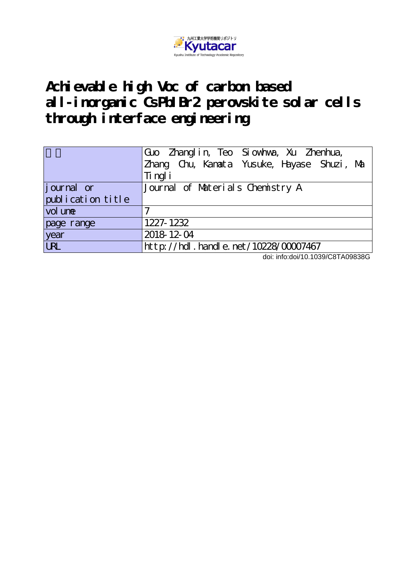

# **Achievable high Voc of carbon based all-inorganic CsPbIBr2 perovskite solar cells through interface engineering**

|                   | Guo Zhanglin, Teo Siowhwa, Xu Zhenhua,<br>Zhang Chu, Kanata Yusuke, Hayase Shuzi, Ma<br>Ti ngl i |
|-------------------|--------------------------------------------------------------------------------------------------|
| journal or        | Journal of Materials Chemistry A                                                                 |
| publication title |                                                                                                  |
| vol une           |                                                                                                  |
| page range        | 1227-1232                                                                                        |
| year              | 2018 12 04                                                                                       |
| URL               | http://hdl.handle.net/10228/00007467                                                             |

doi: info:doi/10.1039/C8TA09838G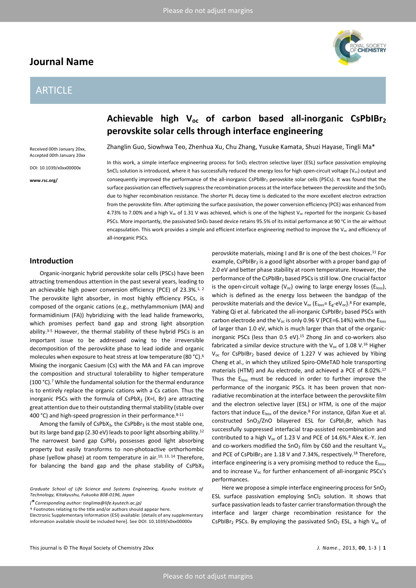## Journal Name

## ARTICLE

Received 00th January 20xx, Accepted 00th January 20xx

DOI: 10.1039/x0xx00000x

www.rsc.org/

## Achievable high  $V_{\text{oc}}$  of carbon based all-inorganic CsPbIBr<sub>2</sub> perovskite solar cells through interface engineering

Zhanglin Guo, Siowhwa Teo, Zhenhua Xu, Chu Zhang, Yusuke Kamata, Shuzi Hayase, Tingli Ma\*

In this work, a simple interface engineering process for SnO<sub>2</sub> electron selective layer (ESL) surface passivation employing SnCl<sub>2</sub> solution is introduced, where it has successfully reduced the energy loss for high open-circuit voltage (V<sub>oc</sub>) output and consequently improved the performance of the all-inorganic CsPbIBr<sub>2</sub> perovskite solar cells (PSCs). It was found that the surface passivation can effectively suppress the recombination process at the interface between the perovskite and the SnO<sub>2</sub> due to higher recombination resistance. The shorter PL decay time is dedicated to the more excellent electron extraction from the perovskite film. After optimizing the surface passivation, the power conversion efficiency (PCE) was enhanced from 4.73% to 7.00% and a high V<sub>oc</sub> of 1.31 V was achieved, which is one of the highest V<sub>oc</sub> reported for the inorganic Cs-based PSCs. More importantly, the passivated SnO<sub>2</sub> based device retains 95.5% of its initial performance at 90 °C in the air without encapsulation. This work provides a simple and efficient interface engineering method to improve the  $V_{oc}$  and efficiency of all-inorganic PSCs.

## Introduction

Organic-inorganic hybrid perovskite solar cells (PSCs) have been attracting tremendous attention in the past several years, leading to an achievable high power conversion efficiency (PCE) of 23.3%.1, 2 The perovskite light absorber, in most highly efficiency PSCs, is composed of the organic cations (e.g., methylammonium (MA) and formamidinium (FA)) hybridizing with the lead halide frameworks, which promises perfect band gap and strong light absorption ability.3-5 However, the thermal stability of these hybrid PSCs is an important issue to be addressed owing to the irreversible decomposition of the perovskite phase to lead iodide and organic molecules when exposure to heat stress at low temperature (80 °C).<sup>6</sup> Mixing the inorganic Caesium (Cs) with the MA and FA can improve the composition and structural tolerability to higher temperature (100 °C).<sup>7</sup> While the fundamental solution for the thermal endurance is to entirely replace the organic cations with a Cs cation. Thus the inorganic PSCs with the formula of  $CsPbX<sub>3</sub>$  (X=I, Br) are attracting great attention due to their outstanding thermal stability (stable over 400 °C) and high-speed progression in their performance.8-11

Among the family of CsPbX<sub>3</sub>, the CsPbBr<sub>3</sub> is the most stable one, but its large band gap (2.30 eV) leads to poor light absorbing ability.<sup>12</sup> The narrowest band gap CsPbI<sub>3</sub> possesses good light absorbing property but easily transforms to non-photoactive orthorhombic phase (yellow phase) at room temperature in air.<sup>10, 13, 14</sup> Therefore, for balancing the band gap and the phase stability of CsPbX<sub>3</sub>

Graduate School of Life Science and Systems Engineering, Kyushu Institute of Technology, Kitakyushu, Fukuoka 808-0196, Japan

(\*Corresponding author: tinglima@life.kyutech.ac.jp)

† Footnotes relating to the title and/or authors should appear here.

Electronic Supplementary Information (ESI) available: [details of any supplementary information available should be included here]. See DOI: 10.1039/x0xx00000x

perovskite materials, mixing I and Br is one of the best choices.<sup>11</sup> For example, CsPbIB $r_2$  is a good light absorber with a proper band gap of 2.0 eV and better phase stability at room temperature. However, the performance of the CsPbIBr<sub>2</sub> based PSCs is still low. One crucial factor is the open-circuit voltage ( $V_{oc}$ ) owing to large energy losses ( $E_{loss}$ ), which is defined as the energy loss between the bandgap of the perovskite materials and the device  $V_{\text{oc}}$  ( $E_{\text{loss}} = E_{g} - eV_{\text{oc}}$ ).<sup>8</sup> For example, Yabing Qi et al. fabricated the all-inorganic CsPbIBr<sub>2</sub> based PSCs with carbon electrode and the V<sub>oc</sub> is only 0.96 V (PCE=6.14%) with the E<sub>loss</sub> of larger than 1.0 eV, which is much larger than that of the organicinorganic PSCs (less than 0.5 eV).<sup>15</sup> Zhong Jin and co-workers also fabricated a similar device structure with the  $V_{oc}$  of 1.08 V.<sup>16</sup> Higher  $V_{oc}$  for CsPbIBr<sub>2</sub> based device of 1.227 V was achieved by Yibing Cheng et al., in which they utilized Spiro-OMeTAD hole transporting materials (HTM) and Au electrode, and achieved a PCE of 8.02%.<sup>17</sup> Thus the E<sub>loss</sub> must be reduced in order to further improve the performance of the inorganic PSCs. It has been proven that nonradiative recombination at the interface between the perovskite film and the electron selective layer (ESL) or HTM, is one of the major factors that induce E<sub>loss</sub> of the device.<sup>8</sup> For instance, Qifan Xue et al. constructed SnO<sub>2</sub>/ZnO bilayered ESL for CsPbI<sub>2</sub>Br, which has successfully suppressed interfacial trap-assisted recombination and contributed to a high  $V_{oc}$  of 1.23 V and PCE of 14.6%.<sup>8</sup> Alex K.-Y. Jen and co-workers modified the SnO<sub>2</sub> film by C60 and the resultant  $V_{oc}$ and PCE of CsPbIBr<sub>2</sub> are 1.18 V and 7.34%, respectively.<sup>18</sup> Therefore, interface engineering is a very promising method to reduce the Eloss, and to increase  $V_{oc}$  for further enhancement of all-inorganic PSCs's performances.

Here we propose a simple interface engineering process for SnO<sub>2</sub> ESL surface passivation employing  $SnCl<sub>2</sub>$  solution. It shows that surface passivation leads to faster carrier transformation through the interface and larger charge recombination resistance for the CsPbIBr<sub>2</sub> PSCs. By employing the passivated  $SnO<sub>2</sub>$  ESL, a high  $V<sub>oc</sub>$  of

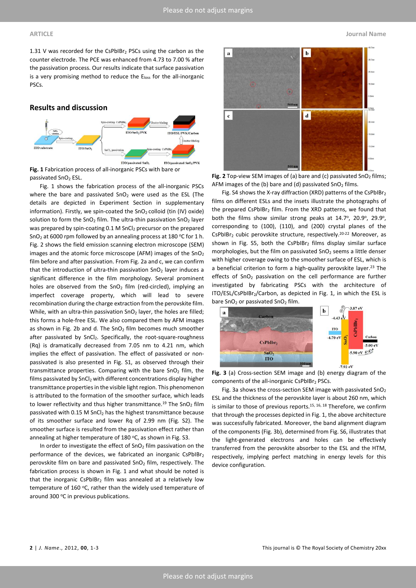1.31 V was recorded for the CsPbIB $r_2$  PSCs using the carbon as the counter electrode. The PCE was enhanced from 4.73 to 7.00 % after the passivation process. Our results indicate that surface passivation is a very promising method to reduce the Eloss for the all-inorganic PSCs.

### Results and discussion



Fig. 1 Fabrication process of all-inorganic PSCs with bare or passivated SnO<sub>2</sub> ESL.

Fig. 1 shows the fabrication process of the all-inorganic PSCs where the bare and passivated  $SnO<sub>2</sub>$  were used as the ESL (The details are depicted in Experiment Section in supplementary information). Firstly, we spin-coated the  $SnO<sub>2</sub>$  colloid (tin (IV) oxide) solution to form the  $SnO<sub>2</sub>$  film. The ultra-thin passivation  $SnO<sub>2</sub>$  layer was prepared by spin-coating 0.1 M SnCl<sub>2</sub> precursor on the prepared SnO<sub>2</sub> at 6000 rpm followed by an annealing process at 180  $\degree$ C for 1 h. Fig. 2 shows the field emission scanning electron microscope (SEM) images and the atomic force microscope (AFM) images of the  $SnO<sub>2</sub>$ film before and after passivation. From Fig. 2a and c, we can confirm that the introduction of ultra-thin passivation  $SnO<sub>2</sub>$  layer induces a significant difference in the film morphology. Several prominent holes are observed from the  $SnO<sub>2</sub>$  film (red-circled), implying an imperfect coverage property, which will lead to severe recombination during the charge extraction from the perovskite film. While, with an ultra-thin passivation  $SnO<sub>2</sub>$  layer, the holes are filled; this forms a hole-free ESL. We also compared them by AFM images as shown in Fig. 2b and d. The  $SnO<sub>2</sub>$  film becomes much smoother after passivated by SnCl<sub>2</sub>. Specifically, the root-square-roughness (Rq) is dramatically decreased from 7.05 nm to 4.21 nm, which implies the effect of passivation. The effect of passivated or nonpassivated is also presented in Fig. S1, as observed through their transmittance properties. Comparing with the bare  $SnO<sub>2</sub>$  film, the films passivated by SnCl<sub>2</sub> with different concentrations display higher transmittance properties in the visible light region. This phenomenon is attributed to the formation of the smoother surface, which leads to lower reflectivity and thus higher transmittance.<sup>19</sup> The SnO<sub>2</sub> film passivated with 0.15 M SnCl<sub>2</sub> has the highest transmittance because of its smoother surface and lower Rq of 2.99 nm (Fig. S2). The smoother surface is resulted from the passivation effect rather than annealing at higher temperature of 180  $\degree$ C, as shown in Fig. S3.

In order to investigate the effect of  $SnO<sub>2</sub>$  film passivation on the performance of the devices, we fabricated an inorganic CsPbIBr<sub>2</sub> perovskite film on bare and passivated  $SnO<sub>2</sub>$  film, respectively. The fabrication process is shown in Fig. 1 and what should be noted is that the inorganic CsPbIBr<sub>2</sub> film was annealed at a relatively low temperature of 160 °C, rather than the widely used temperature of around 300 °C in previous publications.



Fig. 2 Top-view SEM images of (a) bare and (c) passivated  $SnO<sub>2</sub>$  films; AFM images of the (b) bare and (d) passivated  $SnO<sub>2</sub>$  films.

Fig. S4 shows the X-ray diffraction (XRD) patterns of the CsPbIBr<sub>2</sub> films on different ESLs and the insets illustrate the photographs of the prepared CsPbIBr<sub>2</sub> film. From the XRD patterns, we found that both the films show similar strong peaks at 14.7°, 20.9°, 29.9°, corresponding to (100), (110), and (200) crystal planes of the CsPbIBr<sub>2</sub> cubic perovskite structure, respectively.<sup>20-22</sup> Moreover, as shown in Fig. S5, both the CsPbIBr<sub>2</sub> films display similar surface morphologies, but the film on passivated  $SnO<sub>2</sub>$  seems a little denser with higher coverage owing to the smoother surface of ESL, which is a beneficial criterion to form a high-quality perovskite layer.<sup>23</sup> The effects of  $SnO<sub>2</sub>$  passivation on the cell performance are further investigated by fabricating PSCs with the architecture of ITO/ESL/CsPbIBr<sub>2</sub>/Carbon, as depicted in Fig. 1, in which the ESL is bare  $SnO<sub>2</sub>$  or passivated  $SnO<sub>2</sub>$  film.



Fig. 3 (a) Cross-section SEM image and (b) energy diagram of the components of the all-inorganic CsPbIBr<sub>2</sub> PSCs.

Fig. 3a shows the cross-section SEM image with passivated  $SnO<sub>2</sub>$ ESL and the thickness of the perovskite layer is about 260 nm, which is similar to those of previous reports.15, 16, 18 Therefore, we confirm that through the processes depicted in Fig. 1, the above architecture was successfully fabricated. Moreover, the band alignment diagram of the components (Fig. 3b), determined from Fig. S6, illustrates that the light-generated electrons and holes can be effectively transferred from the perovskite absorber to the ESL and the HTM, respectively, implying perfect matching in energy levels for this device configuration.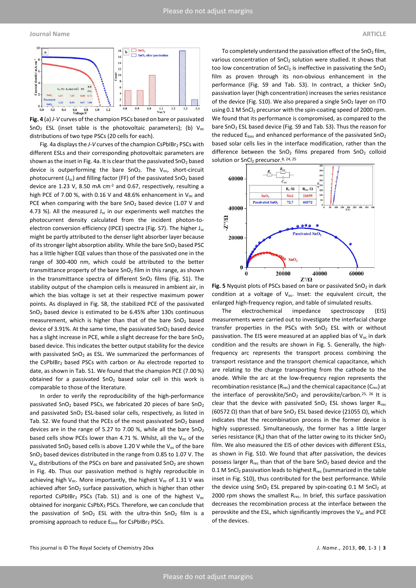

Fig. 4 (a) J-V curves of the champion PSCs based on bare or passivated SnO<sub>2</sub> ESL (inset table is the photovoltaic parameters); (b)  $V_{oc}$ distributions of two type PSCs (20 cells for each).

Fig. 4a displays the J-V curves of the champion CsPbIBr<sub>2</sub> PSCs with different ESLs and their corresponding photovoltaic parameters are shown as the inset in Fig. 4a. It is clear that the passivated SnO<sub>2</sub> based device is outperforming the bare  $SnO<sub>2</sub>$ . The  $V<sub>oc</sub>$ , short-circuit photocurrent  $(J_{sc})$  and filling factor (FF) of the passivated SnO<sub>2</sub> based device are 1.23 V, 8.50 mA cm<sup>-2</sup> and 0.67, respectively, resulting a high PCE of 7.00 %, with 0.16 V and 48.6% enhancement in  $V_{oc}$  and PCE when comparing with the bare  $SnO<sub>2</sub>$  based device (1.07 V and 4.73 %). All the measured  $J_{\rm sc}$  in our experiments well matches the photocurrent density calculated from the incident photon-toelectron conversion efficiency (IPCE) spectra (Fig. S7). The higher J<sub>sc</sub> might be partly attributed to the denser light absorber layer because of its stronger light absorption ability. While the bare SnO<sub>2</sub> based PSC has a little higher EQE values than those of the passivated one in the range of 300-400 nm, which could be attributed to the better transmittance property of the bare  $SnO<sub>2</sub>$  film in this range, as shown in the transmittance spectra of different  $SnO<sub>2</sub>$  films (Fig. S1). The stability output of the champion cells is measured in ambient air, in which the bias voltage is set at their respective maximum power points. As displayed in Fig. S8, the stabilized PCE of the passivated  $SnO<sub>2</sub>$  based device is estimated to be 6.45% after 130s continuous measurement, which is higher than that of the bare  $SnO<sub>2</sub>$  based device of 3.91%. At the same time, the passivated  $SnO<sub>2</sub>$  based device has a slight increase in PCE, while a slight decrease for the bare  $SnO<sub>2</sub>$ based device. This indicates the better output stability for the device with passivated  $SnO<sub>2</sub>$  as ESL. We summarized the performances of the CsPbIBr<sub>2</sub> based PSCs with carbon or Au electrode reported to date, as shown in Tab. S1. We found that the champion PCE (7.00 %) obtained for a passivated  $SnO<sub>2</sub>$  based solar cell in this work is comparable to those of the literature.

In order to verify the reproducibility of the high-performance passivated  $SnO<sub>2</sub>$  based PSCs, we fabricated 20 pieces of bare  $SnO<sub>2</sub>$ and passivated  $SnO<sub>2</sub>$  ESL-based solar cells, respectively, as listed in Tab. S2. We found that the PCEs of the most passivated  $SnO<sub>2</sub>$  based devices are in the range of 5.27 to 7.00 %, while all the bare  $SnO<sub>2</sub>$ based cells show PCEs lower than 4.71 %. Whilst, all the  $V_{oc}$  of the passivated SnO<sub>2</sub> based cells is above 1.20 V while the V<sub>oc</sub> of the bare SnO2 based devices distributed in the range from 0.85 to 1.07 V. The  $V_{\text{or}}$  distributions of the PSCs on bare and passivated SnO<sub>2</sub> are shown in Fig. 4b. Thus our passivation method is highly reproducible in achieving high  $V_{oc}$ . More importantly, the highest  $V_{oc}$  of 1.31 V was achieved after  $SnO<sub>2</sub>$  surface passivation, which is higher than other reported CsPbIBr<sub>2</sub> PSCs (Tab. S1) and is one of the highest  $V_{oc}$ obtained for inorganic CsPbX<sub>3</sub> PSCs. Therefore, we can conclude that the passivation of  $SnO<sub>2</sub>$  ESL with the ultra-thin  $SnO<sub>2</sub>$  film is a promising approach to reduce Eloss for CsPbIBr<sub>2</sub> PSCs.

To completely understand the passivation effect of the  $SnO<sub>2</sub>$  film, various concentration of SnCl<sub>2</sub> solution were studied. It shows that too low concentration of  $SnCl<sub>2</sub>$  is ineffective in passivating the  $SnO<sub>2</sub>$ film as proven through its non-obvious enhancement in the performance (Fig. S9 and Tab. S3). In contract, a thicker SnO<sub>2</sub> passivation layer (high concentration) increases the series resistance of the device (Fig. S10). We also prepared a single SnO<sub>2</sub> layer on ITO using 0.1 M SnCl<sub>2</sub> precursor with the spin-coating speed of 2000 rpm. We found that its performance is compromised, as compared to the bare SnO<sub>2</sub> ESL based device (Fig. S9 and Tab. S3). Thus the reason for the reduced  $E<sub>loss</sub>$  and enhanced performance of the passivated SnO<sub>2</sub> based solar cells lies in the interface modification, rather than the difference between the  $SnO<sub>2</sub>$  films prepared from  $SnO<sub>2</sub>$  colloid solution or SnCl<sub>2</sub> precursor.<sup>8, 24, 25</sup>



Fig. 5 Nyquist plots of PSCs based on bare or passivated  $SnO<sub>2</sub>$  in dark condition at a voltage of  $V_{oc}$ . Inset: the equivalent circuit, the enlarged high-frequency region, and table of simulated results.

The electrochemical impedance spectroscopy (EIS) measurements were carried out to investigate the interfacial charge transfer properties in the PSCs with  $SnO<sub>2</sub>$  ESL with or without passivation. The EIS were measured at an applied bias of  $V_{\text{oc}}$  in dark condition and the results are shown in Fig. 5. Generally, the highfrequency arc represents the transport process combining the transport resistance and the transport chemical capacitance, which are relating to the charge transporting from the cathode to the anode. While the arc at the low-frequency region represents the recombination resistance  $(R_{rec})$  and the chemical capacitance  $(C_{rec})$  at the interface of perovskite/SnO<sub>2</sub> and perovskite/carbon.<sup>25, 26</sup> It is clear that the device with passivated  $SnO<sub>2</sub>$  ESL shows larger  $R_{rec}$ (60572 Ω) than that of bare SnO<sub>2</sub> ESL based device (21055 Ω), which indicates that the recombination process in the former device is highly suppressed. Simultaneously, the former has a little larger series resistance  $(R_s)$  than that of the latter owing to its thicker SnO<sub>2</sub> film. We also measured the EIS of other devices with different ESLs, as shown in Fig. S10. We found that after passivation, the devices possess larger  $R_{rec}$  than that of the bare  $SnO<sub>2</sub>$  based device and the 0.1 M SnCl<sub>2</sub> passivation leads to highest  $R_{rec}$  (summarized in the table inset in Fig. S10), thus contributed for the best performance. While the device using  $SnO<sub>2</sub>$  ESL prepared by spin-coating 0.1 M SnCl<sub>2</sub> at 2000 rpm shows the smallest  $R_{rec}$ . In brief, this surface passivation decreases the recombination process at the interface between the perovskite and the ESL, which significantly improves the  $V_{oc}$  and PCE of the devices.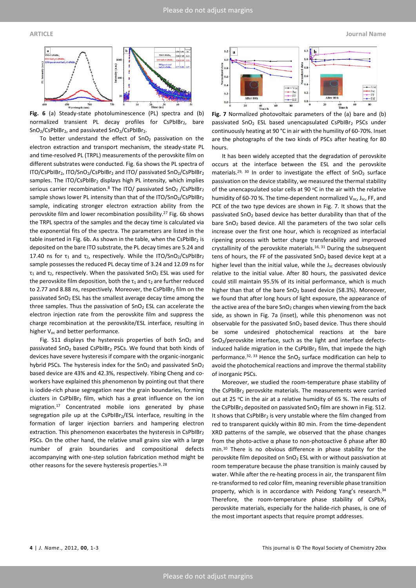

Fig. 6 (a) Steady-state photoluminescence (PL) spectra and (b) normalized transient PL decay profiles for CsPbIBr<sub>2</sub>, bare  $SnO<sub>2</sub>/CsPbIBr<sub>2</sub>$ , and passivated  $SnO<sub>2</sub>/CsPbIBr<sub>2</sub>$ .

To better understand the effect of  $SnO<sub>2</sub>$  passivation on the electron extraction and transport mechanism, the steady-state PL and time-resolved PL (TRPL) measurements of the perovskite film on different substrates were conducted. Fig. 6a shows the PL spectra of ITO/CsPbIBr<sub>2</sub>, ITO/SnO<sub>2</sub>/CsPbIBr<sub>2</sub> and ITO/ passivated SnO<sub>2</sub>/CsPbIBr<sub>2</sub> samples. The ITO/CsPbIBr<sub>2</sub> displays high PL intensity, which implies serious carrier recombination.<sup>8</sup> The ITO/ passivated SnO<sub>2</sub> /CsPbIBr<sub>2</sub> sample shows lower PL intensity than that of the ITO/SnO2/CsPbIBr2 sample, indicating stronger electron extraction ability from the perovskite film and lower recombination possibility.<sup>27</sup> Fig. 6b shows the TRPL spectra of the samples and the decay time is calculated via the exponential fits of the spectra. The parameters are listed in the table inserted in Fig. 6b. As shown in the table, when the CsPbIBr2 is deposited on the bare ITO substrate, the PL decay times are 5.24 and 17.40 ns for τ<sub>1</sub> and τ<sub>2</sub>, respectively. While the ITO/SnO<sub>2</sub>/CsPbIBr<sub>2</sub> sample possesses the reduced PL decay time of 3.24 and 12.09 ns for τ<sub>1</sub> and τ<sub>2</sub>, respectively. When the passivated  $SnO<sub>2</sub> ESL$  was used for the perovskite film deposition, both the  $\tau_1$  and  $\tau_2$  are further reduced to 2.77 and 8.88 ns, respectively. Moreover, the CsPbIBr<sub>2</sub> film on the passivated SnO2 ESL has the smallest average decay time among the three samples. Thus the passivation of  $SnO<sub>2</sub>$  ESL can accelerate the electron injection rate from the perovskite film and suppress the charge recombination at the perovskite/ESL interface, resulting in higher V<sub>oc</sub> and better performance.

Fig. S11 displays the hysteresis properties of both  $SnO<sub>2</sub>$  and passivated SnO<sub>2</sub> based CsPbIBr<sub>2</sub> PSCs. We found that both kinds of devices have severe hysteresis if compare with the organic-inorganic hybrid PSCs. The hysteresis index for the  $SnO<sub>2</sub>$  and passivated  $SnO<sub>2</sub>$ based device are 43% and 42.3%, respectively. Yibing Cheng and coworkers have explained this phenomenon by pointing out that there is iodide-rich phase segregation near the grain boundaries, forming clusters in CsPbIBr<sub>2</sub> film, which has a great influence on the ion migration.<sup>17</sup> Concentrated mobile ions generated by phase segregation pile up at the CsPbIBr2/ESL interface, resulting in the formation of larger injection barriers and hampering electron extraction. This phenomenon exacerbates the hysteresis in CsPbIBr<sub>2</sub> PSCs. On the other hand, the relative small grains size with a large number of grain boundaries and compositional defects accompanying with one-step solution fabrication method might be other reasons for the severe hysteresis properties.<sup>9, 28</sup>



Fig. 7 Normalized photovoltaic parameters of the (a) bare and (b) passivated SnO<sub>2</sub> ESL based unencapsulated CsPbIBr<sub>2</sub> PSCs under continuously heating at 90 °C in air with the humility of 60-70%. Inset are the photographs of the two kinds of PSCs after heating for 80 hours.

It has been widely accepted that the degradation of perovskite occurs at the interface between the ESL and the perovskite materials.<sup>29, 30</sup> In order to investigate the effect of  $SnO<sub>2</sub>$  surface passivation on the device stability, we measured the thermal stability of the unencapsulated solar cells at 90  $^{\circ}$ C in the air with the relative humidity of 60-70 %. The time-dependent normalized  $V_{\text{oc}}$ ,  $J_{\text{sc}}$ , FF, and PCE of the two type devices are shown in Fig. 7. It shows that the passivated SnO2 based device has better durability than that of the bare SnO<sub>2</sub> based device. All the parameters of the two solar cells increase over the first one hour, which is recognized as interfacial ripening process with better charge transferability and improved crystallinity of the perovskite materials.16, 31 During the subsequent tens of hours, the FF of the passivated  $SnO<sub>2</sub>$  based device kept at a higher level than the initial value, while the  $J_{sc}$  decreases obviously relative to the initial value. After 80 hours, the passivated device could still maintain 95.5% of its initial performance, which is much higher than that of the bare  $SnO<sub>2</sub>$  based device (58.3%). Moreover, we found that after long hours of light exposure, the appearance of the active area of the bare  $SnO<sub>2</sub>$  changes when viewing from the back side, as shown in Fig. 7a (inset), while this phenomenon was not observable for the passivated SnO<sub>2</sub> based device. Thus there should be some undesired photochemical reactions at the bare SnO<sub>2</sub>/perovskite interface, such as the light and interface defectsinduced halide migration in the CsPbIBr<sub>2</sub> film, that impede the high performance.<sup>32, 33</sup> Hence the SnO<sub>2</sub> surface modification can help to avoid the photochemical reactions and improve the thermal stability of inorganic PSCs.

Moreover, we studied the room-temperature phase stability of the CsPbIBr<sub>2</sub> perovskite materials. The measurements were carried out at 25 °C in the air at a relative humidity of 65 %. The results of the CsPbIBr<sub>2</sub> deposited on passivated  $SnO<sub>2</sub>$  film are shown in Fig. S12. It shows that CsPbIB $r_2$  is very unstable where the film changed from red to transparent quickly within 80 min. From the time-dependent XRD patterns of the sample, we observed that the phase changes from the photo-active α phase to non-photoactive δ phase after 80 min.<sup>10</sup> There is no obvious difference in phase stability for the perovskite film deposited on SnO<sub>2</sub> ESL with or without passivation at room temperature because the phase transition is mainly caused by water. While after the re-heating process in air, the transparent film re-transformed to red color film, meaning reversible phase transition property, which is in accordance with Peidong Yang's research.<sup>34</sup> Therefore, the room-temperature phase stability of  $CsPbX<sub>3</sub>$ perovskite materials, especially for the halide-rich phases, is one of the most important aspects that require prompt addresses.